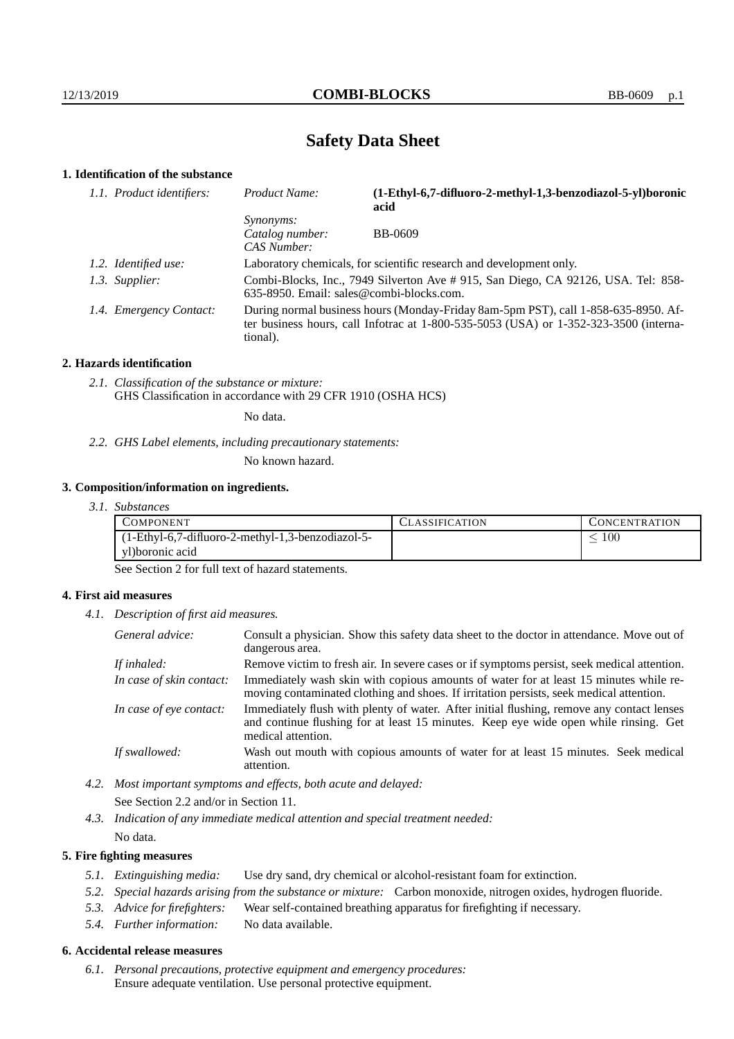# **Safety Data Sheet**

## **1. Identification of the substance**

| 1.1. Product identifiers: | Product Name:                                                                                                                                                                           | (1-Ethyl-6,7-difluoro-2-methyl-1,3-benzodiazol-5-yl)boronic<br>acid |  |
|---------------------------|-----------------------------------------------------------------------------------------------------------------------------------------------------------------------------------------|---------------------------------------------------------------------|--|
|                           | <i>Synonyms:</i><br>Catalog number:<br>CAS Number:                                                                                                                                      | <b>BB-0609</b>                                                      |  |
| 1.2. Identified use:      | Laboratory chemicals, for scientific research and development only.                                                                                                                     |                                                                     |  |
| 1.3. Supplier:            | Combi-Blocks, Inc., 7949 Silverton Ave # 915, San Diego, CA 92126, USA. Tel: 858-<br>635-8950. Email: sales@combi-blocks.com.                                                           |                                                                     |  |
| 1.4. Emergency Contact:   | During normal business hours (Monday-Friday 8am-5pm PST), call 1-858-635-8950. Af-<br>ter business hours, call Infotrac at 1-800-535-5053 (USA) or 1-352-323-3500 (interna-<br>tional). |                                                                     |  |

#### **2. Hazards identification**

*2.1. Classification of the substance or mixture:* GHS Classification in accordance with 29 CFR 1910 (OSHA HCS)

No data.

*2.2. GHS Label elements, including precautionary statements:*

No known hazard.

#### **3. Composition/information on ingredients.**

*3.1. Substances*

| COMPONENT                                         | LASSIFICATION | CONCENTRATION |
|---------------------------------------------------|---------------|---------------|
| (1-Ethyl-6,7-difluoro-2-methyl-1,3-benzodiazol-5- |               | 100           |
| yl)boronic acid                                   |               |               |

See Section 2 for full text of hazard statements.

#### **4. First aid measures**

*4.1. Description of first aid measures.*

| General advice:          | Consult a physician. Show this safety data sheet to the doctor in attendance. Move out of<br>dangerous area.                                                                                            |
|--------------------------|---------------------------------------------------------------------------------------------------------------------------------------------------------------------------------------------------------|
| If inhaled:              | Remove victim to fresh air. In severe cases or if symptoms persist, seek medical attention.                                                                                                             |
| In case of skin contact: | Immediately wash skin with copious amounts of water for at least 15 minutes while re-<br>moving contaminated clothing and shoes. If irritation persists, seek medical attention.                        |
| In case of eye contact:  | Immediately flush with plenty of water. After initial flushing, remove any contact lenses<br>and continue flushing for at least 15 minutes. Keep eye wide open while rinsing. Get<br>medical attention. |
| If swallowed:            | Wash out mouth with copious amounts of water for at least 15 minutes. Seek medical<br>attention.                                                                                                        |

- *4.2. Most important symptoms and effects, both acute and delayed:* See Section 2.2 and/or in Section 11.
- *4.3. Indication of any immediate medical attention and special treatment needed:* No data.

### **5. Fire fighting measures**

- *5.1. Extinguishing media:* Use dry sand, dry chemical or alcohol-resistant foam for extinction.
- *5.2. Special hazards arising from the substance or mixture:* Carbon monoxide, nitrogen oxides, hydrogen fluoride.
- *5.3. Advice for firefighters:* Wear self-contained breathing apparatus for firefighting if necessary.
- *5.4. Further information:* No data available.

## **6. Accidental release measures**

*6.1. Personal precautions, protective equipment and emergency procedures:* Ensure adequate ventilation. Use personal protective equipment.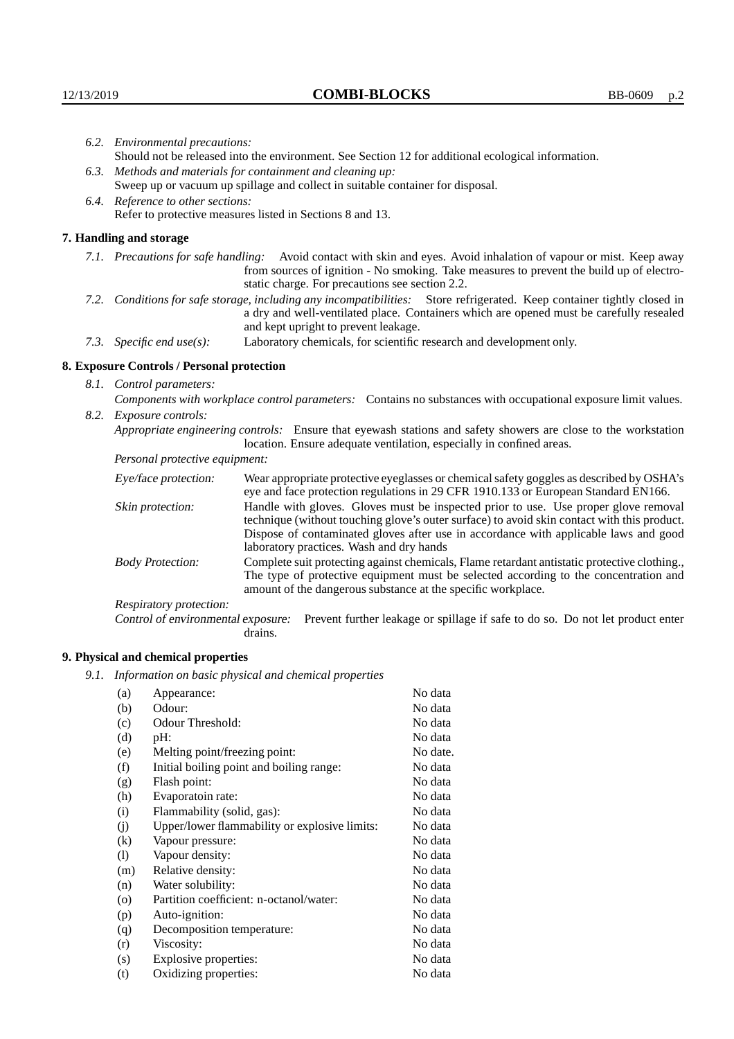|                                                                                                  | 6.2. Environmental precautions:                                                                                                                                                                                                                                    |                                                                                                                                                                                    |  |  |  |
|--------------------------------------------------------------------------------------------------|--------------------------------------------------------------------------------------------------------------------------------------------------------------------------------------------------------------------------------------------------------------------|------------------------------------------------------------------------------------------------------------------------------------------------------------------------------------|--|--|--|
|                                                                                                  | Should not be released into the environment. See Section 12 for additional ecological information.                                                                                                                                                                 |                                                                                                                                                                                    |  |  |  |
|                                                                                                  | 6.3. Methods and materials for containment and cleaning up:                                                                                                                                                                                                        |                                                                                                                                                                                    |  |  |  |
|                                                                                                  | Sweep up or vacuum up spillage and collect in suitable container for disposal.                                                                                                                                                                                     |                                                                                                                                                                                    |  |  |  |
|                                                                                                  | 6.4. Reference to other sections:                                                                                                                                                                                                                                  |                                                                                                                                                                                    |  |  |  |
| Refer to protective measures listed in Sections 8 and 13.                                        |                                                                                                                                                                                                                                                                    |                                                                                                                                                                                    |  |  |  |
|                                                                                                  | 7. Handling and storage                                                                                                                                                                                                                                            |                                                                                                                                                                                    |  |  |  |
|                                                                                                  | 7.1. Precautions for safe handling: Avoid contact with skin and eyes. Avoid inhalation of vapour or mist. Keep away<br>from sources of ignition - No smoking. Take measures to prevent the build up of electro-<br>static charge. For precautions see section 2.2. |                                                                                                                                                                                    |  |  |  |
|                                                                                                  | 7.2. Conditions for safe storage, including any incompatibilities: Store refrigerated. Keep container tightly closed in<br>a dry and well-ventilated place. Containers which are opened must be carefully resealed<br>and kept upright to prevent leakage.         |                                                                                                                                                                                    |  |  |  |
| Laboratory chemicals, for scientific research and development only.<br>7.3. Specific end use(s): |                                                                                                                                                                                                                                                                    |                                                                                                                                                                                    |  |  |  |
|                                                                                                  | 8. Exposure Controls / Personal protection                                                                                                                                                                                                                         |                                                                                                                                                                                    |  |  |  |
|                                                                                                  | 8.1. Control parameters:                                                                                                                                                                                                                                           |                                                                                                                                                                                    |  |  |  |
|                                                                                                  | Components with workplace control parameters: Contains no substances with occupational exposure limit values.                                                                                                                                                      |                                                                                                                                                                                    |  |  |  |
|                                                                                                  | 8.2. Exposure controls:                                                                                                                                                                                                                                            |                                                                                                                                                                                    |  |  |  |
|                                                                                                  | Appropriate engineering controls: Ensure that eyewash stations and safety showers are close to the workstation<br>location. Ensure adequate ventilation, especially in confined areas.                                                                             |                                                                                                                                                                                    |  |  |  |
|                                                                                                  | Personal protective equipment:                                                                                                                                                                                                                                     |                                                                                                                                                                                    |  |  |  |
|                                                                                                  | Eye/face protection:                                                                                                                                                                                                                                               | Wear appropriate protective eyeglasses or chemical safety goggles as described by OSHA's<br>eye and face protection regulations in 29 CFR 1910.133 or European Standard EN166.     |  |  |  |
|                                                                                                  | Skin protection:                                                                                                                                                                                                                                                   | Handle with gloves. Gloves must be inspected prior to use. Use proper glove removal<br>technique (without touching glove's outer surface) to avoid skin contact with this product. |  |  |  |

| Wear appropriate protective eyeglasses or chemical safety goggles as described by OSHA's<br>Eye/face protection:<br>eye and face protection regulations in 29 CFR 1910.133 or European Standard EN166.                                                                         |                                                                                                                                                                                                                                                                                                                        |  |  |
|--------------------------------------------------------------------------------------------------------------------------------------------------------------------------------------------------------------------------------------------------------------------------------|------------------------------------------------------------------------------------------------------------------------------------------------------------------------------------------------------------------------------------------------------------------------------------------------------------------------|--|--|
| Skin protection:                                                                                                                                                                                                                                                               | Handle with gloves. Gloves must be inspected prior to use. Use proper glove removal<br>technique (without touching glove's outer surface) to avoid skin contact with this product.<br>Dispose of contaminated gloves after use in accordance with applicable laws and good<br>laboratory practices. Wash and dry hands |  |  |
| Complete suit protecting against chemicals, Flame retardant antistatic protective clothing.<br><b>Body Protection:</b><br>The type of protective equipment must be selected according to the concentration and<br>amount of the dangerous substance at the specific workplace. |                                                                                                                                                                                                                                                                                                                        |  |  |
| Respiratory protection:                                                                                                                                                                                                                                                        |                                                                                                                                                                                                                                                                                                                        |  |  |
| Control of environmental exposure:                                                                                                                                                                                                                                             | Prevent further leakage or spillage if safe to do so. Do not let product enter<br>drains.                                                                                                                                                                                                                              |  |  |

# **9. Physical and chemical properties**

*9.1. Information on basic physical and chemical properties*

| (a)                          | Appearance:                                   | No data  |
|------------------------------|-----------------------------------------------|----------|
| (b)                          | Odour:                                        | No data  |
| (c)                          | Odour Threshold:                              | No data  |
| (d)                          | pH:                                           | No data  |
| (e)                          | Melting point/freezing point:                 | No date. |
| (f)                          | Initial boiling point and boiling range:      | No data  |
| (g)                          | Flash point:                                  | No data  |
| (h)                          | Evaporatoin rate:                             | No data  |
| (i)                          | Flammability (solid, gas):                    | No data  |
| (j)                          | Upper/lower flammability or explosive limits: | No data  |
| $\left( k\right)$            | Vapour pressure:                              | No data  |
| $\left( \frac{1}{2} \right)$ | Vapour density:                               | No data  |
| (m)                          | Relative density:                             | No data  |
| (n)                          | Water solubility:                             | No data  |
| $\circ$                      | Partition coefficient: n-octanol/water:       | No data  |
| (p)                          | Auto-ignition:                                | No data  |
| (q)                          | Decomposition temperature:                    | No data  |
| (r)                          | Viscosity:                                    | No data  |
| (s)                          | Explosive properties:                         | No data  |
| (t)                          | Oxidizing properties:                         | No data  |
|                              |                                               |          |